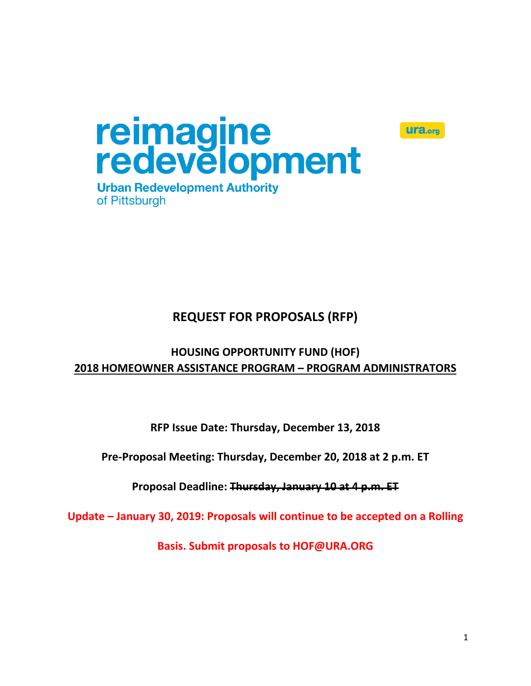



**Urban Redevelopment Authority** of Pittsburgh

# **REQUEST FOR PROPOSALS (RFP)**

# **HOUSING OPPORTUNITY FUND (HOF) 2018 HOMEOWNER ASSISTANCE PROGRAM – PROGRAM ADMINISTRATORS**

**RFP Issue Date: Thursday, December 13, 2018**

**Pre-Proposal Meeting: Thursday, December 20, 2018 at 2 p.m. ET**

**Proposal Deadline: Thursday, January 10 at 4 p.m. ET**

**Update – January 30, 2019: Proposals will continue to be accepted on a Rolling** 

**Basis. Submit proposals to HOF@URA.ORG**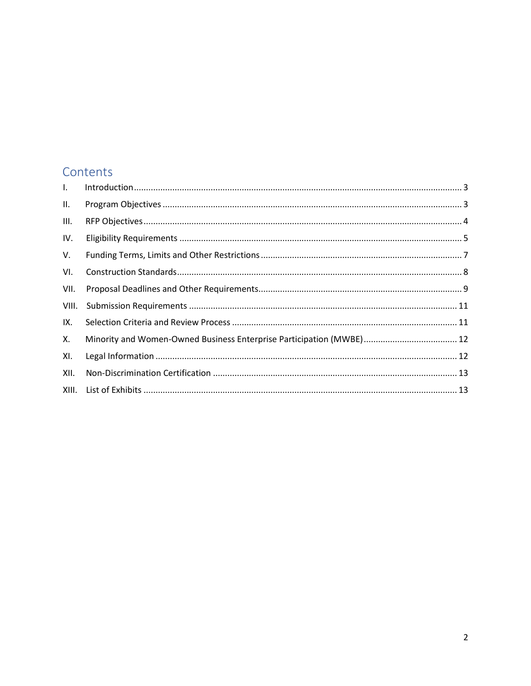# Contents

| $\mathbf{L}$ |  |
|--------------|--|
| II.          |  |
| III.         |  |
| IV.          |  |
| V.           |  |
| VI.          |  |
| VII.         |  |
| VIII.        |  |
| IX.          |  |
| Х.           |  |
| XI.          |  |
| XII.         |  |
|              |  |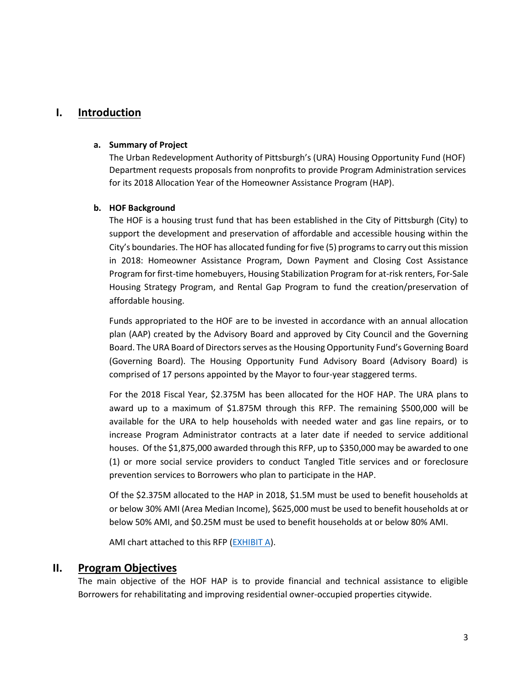# <span id="page-2-0"></span>**I. Introduction**

#### **a. Summary of Project**

The Urban Redevelopment Authority of Pittsburgh's (URA) Housing Opportunity Fund (HOF) Department requests proposals from nonprofits to provide Program Administration services for its 2018 Allocation Year of the Homeowner Assistance Program (HAP).

#### **b. HOF Background**

The HOF is a housing trust fund that has been established in the City of Pittsburgh (City) to support the development and preservation of affordable and accessible housing within the City's boundaries. The HOF has allocated funding for five (5) programs to carry out this mission in 2018: Homeowner Assistance Program, Down Payment and Closing Cost Assistance Program for first-time homebuyers, Housing Stabilization Program for at-risk renters, For-Sale Housing Strategy Program, and Rental Gap Program to fund the creation/preservation of affordable housing.

Funds appropriated to the HOF are to be invested in accordance with an annual allocation plan (AAP) created by the Advisory Board and approved by City Council and the Governing Board. The URA Board of Directors serves as the Housing Opportunity Fund's Governing Board (Governing Board). The Housing Opportunity Fund Advisory Board (Advisory Board) is comprised of 17 persons appointed by the Mayor to four-year staggered terms.

For the 2018 Fiscal Year, \$2.375M has been allocated for the HOF HAP. The URA plans to award up to a maximum of \$1.875M through this RFP. The remaining \$500,000 will be available for the URA to help households with needed water and gas line repairs, or to increase Program Administrator contracts at a later date if needed to service additional houses. Of the \$1,875,000 awarded through this RFP, up to \$350,000 may be awarded to one (1) or more social service providers to conduct Tangled Title services and or foreclosure prevention services to Borrowers who plan to participate in the HAP.

Of the \$2.375M allocated to the HAP in 2018, \$1.5M must be used to benefit households at or below 30% AMI (Area Median Income), \$625,000 must be used to benefit households at or below 50% AMI, and \$0.25M must be used to benefit households at or below 80% AMI.

AMI chart attached to this RFP [\(EXHIBIT A\)](https://www.ura.org/media/W1siZiIsIjIwMTgvMTIvMTIvOGlhdGo5djg1NF9FeGhpYml0X0FfMjAxOF9BcmVhX01lZGlhbl9JbmNvbWVfQU1JX0NoYXJ0LnBkZiJdXQ/Exhibit%20A%20-%202018%20Area%20Median%20Income%20%28AMI%29%20Chart.pdf).

### <span id="page-2-1"></span>**II. Program Objectives**

The main objective of the HOF HAP is to provide financial and technical assistance to eligible Borrowers for rehabilitating and improving residential owner-occupied properties citywide.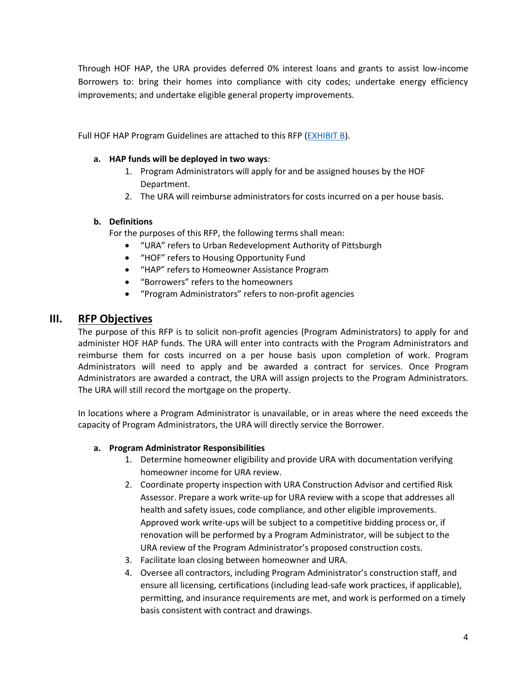Through HOF HAP, the URA provides deferred 0% interest loans and grants to assist low-income Borrowers to: bring their homes into compliance with city codes; undertake energy efficiency improvements; and undertake eligible general property improvements.

Full HOF HAP Program Guidelines are attached to this RFP [\(EXHIBIT](https://www.ura.org/media/W1siZiIsIjIwMTgvMTIvMTIvOTg4NnE5OXRtY19FeGhpYml0X0JfSG9tZW93bmVyX0Fzc2lzdGFuY2VfUHJvZ3JhbV9HdWlkZWxpbmVzLnBkZiJdXQ/Exhibit%20B%20-%20Homeowner%20Assistance%20Program%20Guidelines.pdf) B).

### **a. HAP funds will be deployed in two ways**:

- 1. Program Administrators will apply for and be assigned houses by the HOF Department.
- 2. The URA will reimburse administrators for costs incurred on a per house basis.

### **b. Definitions**

For the purposes of this RFP, the following terms shall mean:

- "URA" refers to Urban Redevelopment Authority of Pittsburgh
- "HOF" refers to Housing Opportunity Fund
- "HAP" refers to Homeowner Assistance Program
- "Borrowers" refers to the homeowners
- "Program Administrators" refers to non-profit agencies

# <span id="page-3-0"></span>**III. RFP Objectives**

The purpose of this RFP is to solicit non-profit agencies (Program Administrators) to apply for and administer HOF HAP funds. The URA will enter into contracts with the Program Administrators and reimburse them for costs incurred on a per house basis upon completion of work. Program Administrators will need to apply and be awarded a contract for services. Once Program Administrators are awarded a contract, the URA will assign projects to the Program Administrators. The URA will still record the mortgage on the property.

In locations where a Program Administrator is unavailable, or in areas where the need exceeds the capacity of Program Administrators, the URA will directly service the Borrower.

## **a. Program Administrator Responsibilities**

- 1. Determine homeowner eligibility and provide URA with documentation verifying homeowner income for URA review.
- 2. Coordinate property inspection with URA Construction Advisor and certified Risk Assessor. Prepare a work write-up for URA review with a scope that addresses all health and safety issues, code compliance, and other eligible improvements. Approved work write-ups will be subject to a competitive bidding process or, if renovation will be performed by a Program Administrator, will be subject to the URA review of the Program Administrator's proposed construction costs.
- 3. Facilitate loan closing between homeowner and URA.
- 4. Oversee all contractors, including Program Administrator's construction staff, and ensure all licensing, certifications (including lead-safe work practices, if applicable), permitting, and insurance requirements are met, and work is performed on a timely basis consistent with contract and drawings.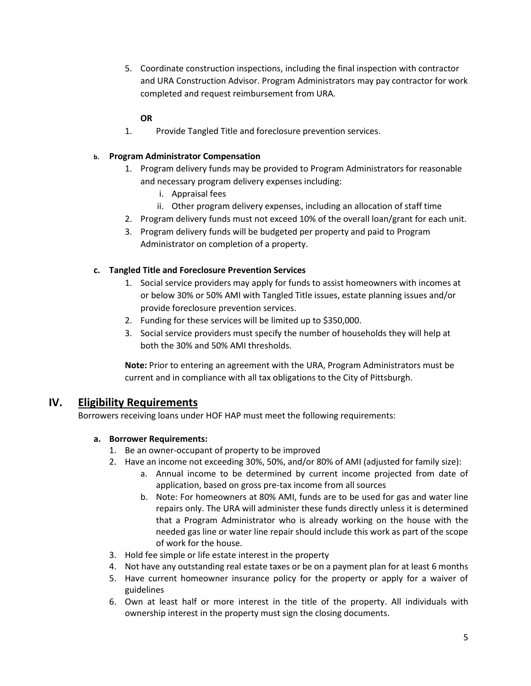5. Coordinate construction inspections, including the final inspection with contractor and URA Construction Advisor. Program Administrators may pay contractor for work completed and request reimbursement from URA.

### **OR**

1. Provide Tangled Title and foreclosure prevention services.

### **b. Program Administrator Compensation**

- 1. Program delivery funds may be provided to Program Administrators for reasonable and necessary program delivery expenses including:
	- i. Appraisal fees
	- ii. Other program delivery expenses, including an allocation of staff time
- 2. Program delivery funds must not exceed 10% of the overall loan/grant for each unit.
- 3. Program delivery funds will be budgeted per property and paid to Program Administrator on completion of a property.

### **c. Tangled Title and Foreclosure Prevention Services**

- 1. Social service providers may apply for funds to assist homeowners with incomes at or below 30% or 50% AMI with Tangled Title issues, estate planning issues and/or provide foreclosure prevention services.
- 2. Funding for these services will be limited up to \$350,000.
- 3. Social service providers must specify the number of households they will help at both the 30% and 50% AMI thresholds.

**Note:** Prior to entering an agreement with the URA, Program Administrators must be current and in compliance with all tax obligations to the City of Pittsburgh.

# <span id="page-4-0"></span>**IV. Eligibility Requirements**

Borrowers receiving loans under HOF HAP must meet the following requirements:

### **a. Borrower Requirements:**

- 1. Be an owner-occupant of property to be improved
- 2. Have an income not exceeding 30%, 50%, and/or 80% of AMI (adjusted for family size):
	- a. Annual income to be determined by current income projected from date of application, based on gross pre-tax income from all sources
	- b. Note: For homeowners at 80% AMI, funds are to be used for gas and water line repairs only. The URA will administer these funds directly unless it is determined that a Program Administrator who is already working on the house with the needed gas line or water line repair should include this work as part of the scope of work for the house.
- 3. Hold fee simple or life estate interest in the property
- 4. Not have any outstanding real estate taxes or be on a payment plan for at least 6 months
- 5. Have current homeowner insurance policy for the property or apply for a waiver of guidelines
- 6. Own at least half or more interest in the title of the property. All individuals with ownership interest in the property must sign the closing documents.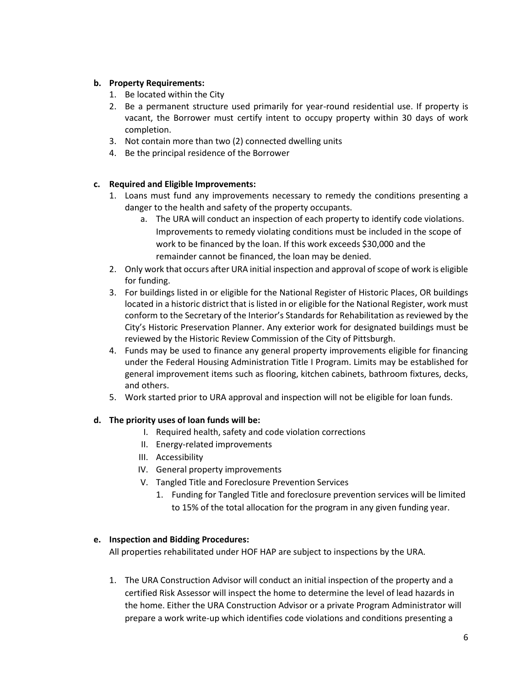## **b. Property Requirements:**

- 1. Be located within the City
- 2. Be a permanent structure used primarily for year-round residential use. If property is vacant, the Borrower must certify intent to occupy property within 30 days of work completion.
- 3. Not contain more than two (2) connected dwelling units
- 4. Be the principal residence of the Borrower

# **c. Required and Eligible Improvements:**

- 1. Loans must fund any improvements necessary to remedy the conditions presenting a danger to the health and safety of the property occupants.
	- a. The URA will conduct an inspection of each property to identify code violations. Improvements to remedy violating conditions must be included in the scope of work to be financed by the loan. If this work exceeds \$30,000 and the remainder cannot be financed, the loan may be denied.
- 2. Only work that occurs after URA initial inspection and approval of scope of work is eligible for funding.
- 3. For buildings listed in or eligible for the National Register of Historic Places, OR buildings located in a historic district that is listed in or eligible for the National Register, work must conform to the Secretary of the Interior's Standards for Rehabilitation as reviewed by the City's Historic Preservation Planner. Any exterior work for designated buildings must be reviewed by the Historic Review Commission of the City of Pittsburgh.
- 4. Funds may be used to finance any general property improvements eligible for financing under the Federal Housing Administration Title I Program. Limits may be established for general improvement items such as flooring, kitchen cabinets, bathroom fixtures, decks, and others.
- 5. Work started prior to URA approval and inspection will not be eligible for loan funds.

## **d. The priority uses of loan funds will be:**

- I. Required health, safety and code violation corrections
- II. Energy-related improvements
- III. Accessibility
- IV. General property improvements
- V. Tangled Title and Foreclosure Prevention Services
	- 1. Funding for Tangled Title and foreclosure prevention services will be limited to 15% of the total allocation for the program in any given funding year.

## **e. Inspection and Bidding Procedures:**

All properties rehabilitated under HOF HAP are subject to inspections by the URA.

1. The URA Construction Advisor will conduct an initial inspection of the property and a certified Risk Assessor will inspect the home to determine the level of lead hazards in the home. Either the URA Construction Advisor or a private Program Administrator will prepare a work write-up which identifies code violations and conditions presenting a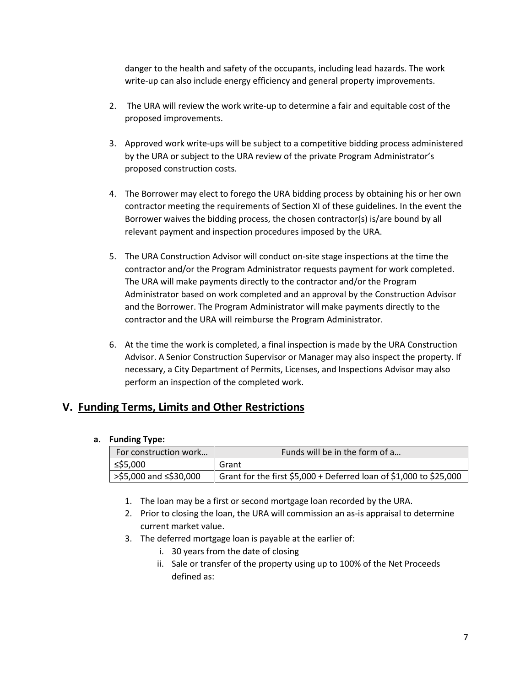danger to the health and safety of the occupants, including lead hazards. The work write-up can also include energy efficiency and general property improvements.

- 2. The URA will review the work write-up to determine a fair and equitable cost of the proposed improvements.
- 3. Approved work write-ups will be subject to a competitive bidding process administered by the URA or subject to the URA review of the private Program Administrator's proposed construction costs.
- 4. The Borrower may elect to forego the URA bidding process by obtaining his or her own contractor meeting the requirements of Section XI of these guidelines. In the event the Borrower waives the bidding process, the chosen contractor(s) is/are bound by all relevant payment and inspection procedures imposed by the URA.
- 5. The URA Construction Advisor will conduct on-site stage inspections at the time the contractor and/or the Program Administrator requests payment for work completed. The URA will make payments directly to the contractor and/or the Program Administrator based on work completed and an approval by the Construction Advisor and the Borrower. The Program Administrator will make payments directly to the contractor and the URA will reimburse the Program Administrator.
- 6. At the time the work is completed, a final inspection is made by the URA Construction Advisor. A Senior Construction Supervisor or Manager may also inspect the property. If necessary, a City Department of Permits, Licenses, and Inspections Advisor may also perform an inspection of the completed work.

# <span id="page-6-0"></span>**V. Funding Terms, Limits and Other Restrictions**

### **a. Funding Type:**

| For construction work           | Funds will be in the form of a                                        |  |
|---------------------------------|-----------------------------------------------------------------------|--|
| ≤\$5,000                        | Grant                                                                 |  |
| $  > $5,000$ and $\leq $30,000$ | Grant for the first $$5,000 +$ Deferred loan of $$1,000$ to $$25,000$ |  |

- 1. The loan may be a first or second mortgage loan recorded by the URA.
- 2. Prior to closing the loan, the URA will commission an as-is appraisal to determine current market value.
- 3. The deferred mortgage loan is payable at the earlier of:
	- i. 30 years from the date of closing
	- ii. Sale or transfer of the property using up to 100% of the Net Proceeds defined as: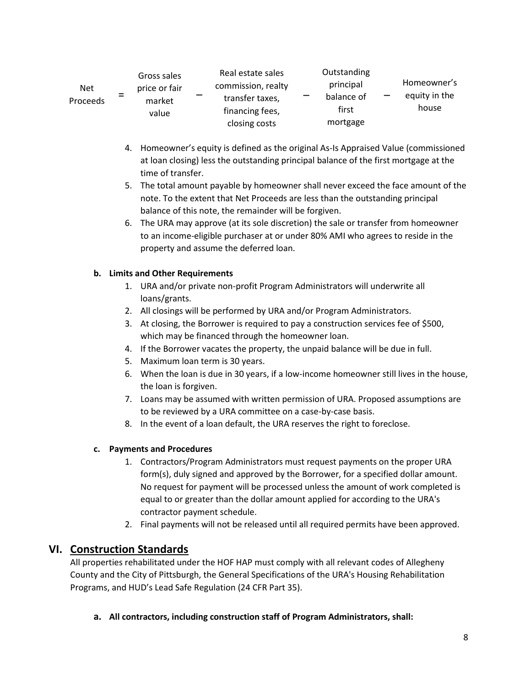| <b>Net</b><br><b>Proceeds</b> | Gross sales<br>price or fair<br>market<br>value | Real estate sales<br>commission, realty<br>transfer taxes,<br>financing fees,<br>closing costs | Outstanding<br>principal<br>balance of<br>first<br>mortgage | Homeowner's<br>equity in the<br>$\overline{\phantom{0}}$<br>house |
|-------------------------------|-------------------------------------------------|------------------------------------------------------------------------------------------------|-------------------------------------------------------------|-------------------------------------------------------------------|
|-------------------------------|-------------------------------------------------|------------------------------------------------------------------------------------------------|-------------------------------------------------------------|-------------------------------------------------------------------|

- 4. Homeowner's equity is defined as the original As-Is Appraised Value (commissioned at loan closing) less the outstanding principal balance of the first mortgage at the time of transfer.
- 5. The total amount payable by homeowner shall never exceed the face amount of the note. To the extent that Net Proceeds are less than the outstanding principal balance of this note, the remainder will be forgiven.
- 6. The URA may approve (at its sole discretion) the sale or transfer from homeowner to an income-eligible purchaser at or under 80% AMI who agrees to reside in the property and assume the deferred loan.

# **b. Limits and Other Requirements**

- 1. URA and/or private non-profit Program Administrators will underwrite all loans/grants.
- 2. All closings will be performed by URA and/or Program Administrators.
- 3. At closing, the Borrower is required to pay a construction services fee of \$500, which may be financed through the homeowner loan.
- 4. If the Borrower vacates the property, the unpaid balance will be due in full.
- 5. Maximum loan term is 30 years.
- 6. When the loan is due in 30 years, if a low-income homeowner still lives in the house, the loan is forgiven.
- 7. Loans may be assumed with written permission of URA. Proposed assumptions are to be reviewed by a URA committee on a case-by-case basis.
- 8. In the event of a loan default, the URA reserves the right to foreclose.

## **c. Payments and Procedures**

- 1. Contractors/Program Administrators must request payments on the proper URA form(s), duly signed and approved by the Borrower, for a specified dollar amount. No request for payment will be processed unless the amount of work completed is equal to or greater than the dollar amount applied for according to the URA's contractor payment schedule.
- 2. Final payments will not be released until all required permits have been approved.

# <span id="page-7-0"></span>**VI. Construction Standards**

All properties rehabilitated under the HOF HAP must comply with all relevant codes of Allegheny County and the City of Pittsburgh, the General Specifications of the URA's Housing Rehabilitation Programs, and HUD's Lead Safe Regulation (24 CFR Part 35).

**a. All contractors, including construction staff of Program Administrators, shall:**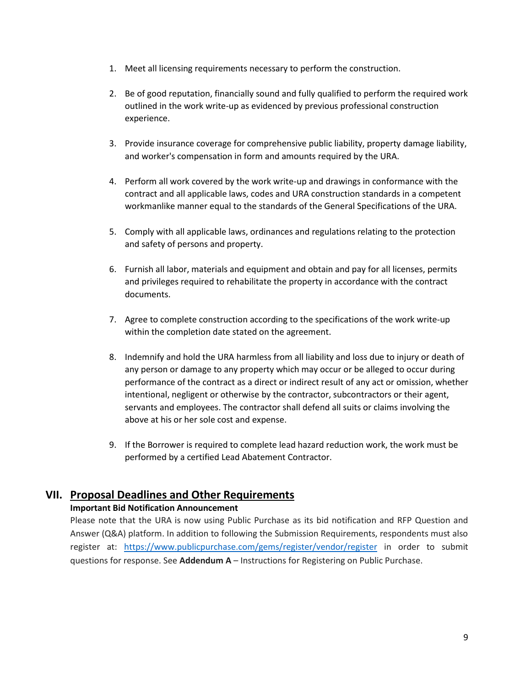- 1. Meet all licensing requirements necessary to perform the construction.
- 2. Be of good reputation, financially sound and fully qualified to perform the required work outlined in the work write-up as evidenced by previous professional construction experience.
- 3. Provide insurance coverage for comprehensive public liability, property damage liability, and worker's compensation in form and amounts required by the URA.
- 4. Perform all work covered by the work write-up and drawings in conformance with the contract and all applicable laws, codes and URA construction standards in a competent workmanlike manner equal to the standards of the General Specifications of the URA.
- 5. Comply with all applicable laws, ordinances and regulations relating to the protection and safety of persons and property.
- 6. Furnish all labor, materials and equipment and obtain and pay for all licenses, permits and privileges required to rehabilitate the property in accordance with the contract documents.
- 7. Agree to complete construction according to the specifications of the work write-up within the completion date stated on the agreement.
- 8. Indemnify and hold the URA harmless from all liability and loss due to injury or death of any person or damage to any property which may occur or be alleged to occur during performance of the contract as a direct or indirect result of any act or omission, whether intentional, negligent or otherwise by the contractor, subcontractors or their agent, servants and employees. The contractor shall defend all suits or claims involving the above at his or her sole cost and expense.
- 9. If the Borrower is required to complete lead hazard reduction work, the work must be performed by a certified Lead Abatement Contractor.

# <span id="page-8-0"></span>**VII. Proposal Deadlines and Other Requirements**

## **Important Bid Notification Announcement**

Please note that the URA is now using Public Purchase as its bid notification and RFP Question and Answer (Q&A) platform. In addition to following the Submission Requirements, respondents must also register at: <https://www.publicpurchase.com/gems/register/vendor/register> in order to submit questions for response. See **Addendum A** – Instructions for Registering on Public Purchase.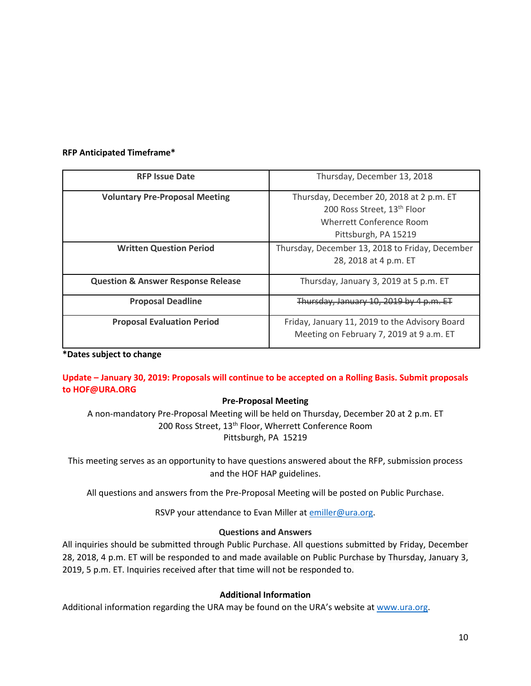| <b>RFP Issue Date</b>                         | Thursday, December 13, 2018                     |  |  |
|-----------------------------------------------|-------------------------------------------------|--|--|
| <b>Voluntary Pre-Proposal Meeting</b>         | Thursday, December 20, 2018 at 2 p.m. ET        |  |  |
|                                               | 200 Ross Street, 13th Floor                     |  |  |
|                                               | Wherrett Conference Room                        |  |  |
|                                               | Pittsburgh, PA 15219                            |  |  |
| <b>Written Question Period</b>                | Thursday, December 13, 2018 to Friday, December |  |  |
|                                               | 28, 2018 at 4 p.m. ET                           |  |  |
| <b>Question &amp; Answer Response Release</b> | Thursday, January 3, 2019 at 5 p.m. ET          |  |  |
| <b>Proposal Deadline</b>                      | Thursday, January 10, 2019 by 4 p.m. ET         |  |  |
| <b>Proposal Evaluation Period</b>             | Friday, January 11, 2019 to the Advisory Board  |  |  |
|                                               | Meeting on February 7, 2019 at 9 a.m. ET        |  |  |

### **RFP Anticipated Timeframe\***

**\*Dates subject to change**

**Update – January 30, 2019: Proposals will continue to be accepted on a Rolling Basis. Submit proposals to HOF@URA.ORG**

### **Pre-Proposal Meeting**

A non-mandatory Pre-Proposal Meeting will be held on Thursday, December 20 at 2 p.m. ET 200 Ross Street, 13<sup>th</sup> Floor, Wherrett Conference Room Pittsburgh, PA 15219

This meeting serves as an opportunity to have questions answered about the RFP, submission process and the HOF HAP guidelines.

All questions and answers from the Pre-Proposal Meeting will be posted on Public Purchase.

RSVP your attendance to Evan Miller a[t emiller@ura.org.](mailto:emiller@ura.org)

## **Questions and Answers**

All inquiries should be submitted through Public Purchase. All questions submitted by Friday, December 28, 2018, 4 p.m. ET will be responded to and made available on Public Purchase by Thursday, January 3, 2019, 5 p.m. ET. Inquiries received after that time will not be responded to.

### **Additional Information**

Additional information regarding the URA may be found on the URA's website a[t www.ura.org.](http://www.ura.org/)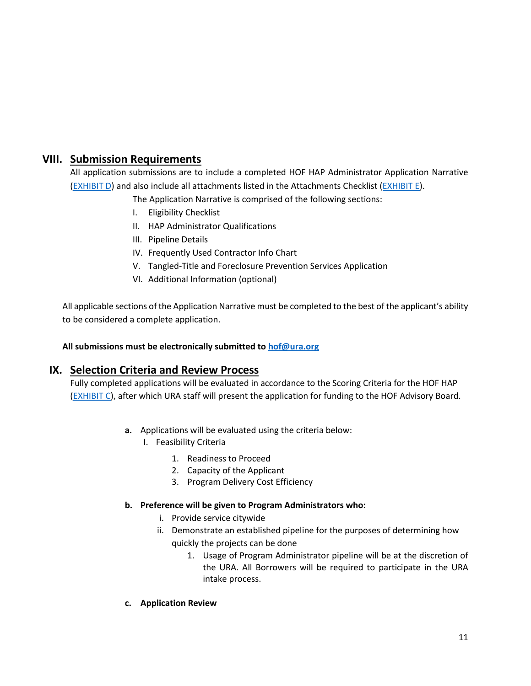# <span id="page-10-0"></span>**VIII. Submission Requirements**

All application submissions are to include a completed HOF HAP Administrator Application Narrative [\(EXHIBIT](https://www.ura.org/media/W1siZiIsIjIwMTgvMTIvMTIvMmJ5YmJsdHpuMV9FeGhpYml0X0RfSEFQX0FwcGxpY2F0aW9uX05hcnJhdGl2ZS5wZGYiXV0/Exhibit%20D%20-%20HAP%20Application%20Narrative.pdf) D) and also include all attachments listed in the Attachments Checklist [\(EXHIBIT E\)](https://www.ura.org/media/W1siZiIsIjIwMTgvMTIvMTIvNW84cDY4cGZwa19FeGhpYml0X0VfQXR0YWNobWVudF9DaGVja2xpc3QucGRmIl1d/Exhibit%20E%20Attachment%20Checklist.pdf).

The Application Narrative is comprised of the following sections:

- I. Eligibility Checklist
- II. HAP Administrator Qualifications
- III. Pipeline Details
- IV. Frequently Used Contractor Info Chart
- V. Tangled-Title and Foreclosure Prevention Services Application
- VI. Additional Information (optional)

All applicable sections of the Application Narrative must be completed to the best of the applicant's ability to be considered a complete application.

**All submissions must be electronically submitted to [hof@ura.org](mailto:hof@ura.org)**

# <span id="page-10-1"></span>**IX. Selection Criteria and Review Process**

Fully completed applications will be evaluated in accordance to the Scoring Criteria for the HOF HAP [\(EXHIBIT C\)](https://www.ura.org/media/W1siZiIsIjIwMTgvMTIvMTIvOHQ2Ym45d2Ryal9FeGhpYml0X0NfSEFQX1Njb3JpbmdfQ3JpdGVyaWEueGxzeCJdXQ/Exhibit%20C%20-%20HAP%20Scoring%20Criteria.xlsx), after which URA staff will present the application for funding to the HOF Advisory Board.

- **a.** Applications will be evaluated using the criteria below:
	- I. Feasibility Criteria
		- 1. Readiness to Proceed
		- 2. Capacity of the Applicant
		- 3. Program Delivery Cost Efficiency
- **b. Preference will be given to Program Administrators who:** 
	- i. Provide service citywide
	- ii. Demonstrate an established pipeline for the purposes of determining how quickly the projects can be done
		- 1. Usage of Program Administrator pipeline will be at the discretion of the URA. All Borrowers will be required to participate in the URA intake process.
- **c. Application Review**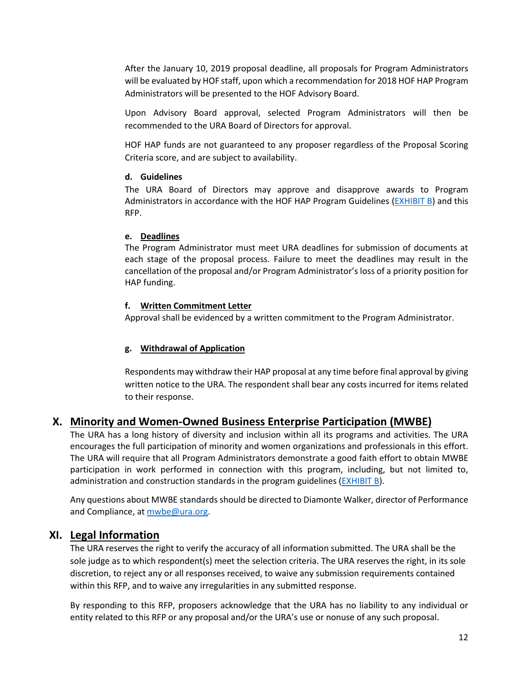After the January 10, 2019 proposal deadline, all proposals for Program Administrators will be evaluated by HOF staff, upon which a recommendation for 2018 HOF HAP Program Administrators will be presented to the HOF Advisory Board.

Upon Advisory Board approval, selected Program Administrators will then be recommended to the URA Board of Directors for approval.

HOF HAP funds are not guaranteed to any proposer regardless of the Proposal Scoring Criteria score, and are subject to availability.

### **d. Guidelines**

The URA Board of Directors may approve and disapprove awards to Program Administrators in accordance with the HOF HAP Program Guidelines [\(EXHIBIT B\)](https://www.ura.org/media/W1siZiIsIjIwMTgvMTIvMTIvOTg4NnE5OXRtY19FeGhpYml0X0JfSG9tZW93bmVyX0Fzc2lzdGFuY2VfUHJvZ3JhbV9HdWlkZWxpbmVzLnBkZiJdXQ/Exhibit%20B%20-%20Homeowner%20Assistance%20Program%20Guidelines.pdf) and this RFP.

#### **e. Deadlines**

The Program Administrator must meet URA deadlines for submission of documents at each stage of the proposal process. Failure to meet the deadlines may result in the cancellation of the proposal and/or Program Administrator's loss of a priority position for HAP funding.

### **f. Written Commitment Letter**

Approval shall be evidenced by a written commitment to the Program Administrator.

### **g. Withdrawal of Application**

Respondents may withdraw their HAP proposal at any time before final approval by giving written notice to the URA. The respondent shall bear any costs incurred for items related to their response.

# <span id="page-11-0"></span>**X. Minority and Women-Owned Business Enterprise Participation (MWBE)**

The URA has a long history of diversity and inclusion within all its programs and activities. The URA encourages the full participation of minority and women organizations and professionals in this effort. The URA will require that all Program Administrators demonstrate a good faith effort to obtain MWBE participation in work performed in connection with this program, including, but not limited to, administration and construction standards in the program guidelines ( $EXHIBITB$ ).

Any questions about MWBE standards should be directed to Diamonte Walker, director of Performance and Compliance, a[t mwbe@ura.org.](mailto:mwbe@ura.org)

## <span id="page-11-1"></span>**XI. Legal Information**

The URA reserves the right to verify the accuracy of all information submitted. The URA shall be the sole judge as to which respondent(s) meet the selection criteria. The URA reserves the right, in its sole discretion, to reject any or all responses received, to waive any submission requirements contained within this RFP, and to waive any irregularities in any submitted response.

By responding to this RFP, proposers acknowledge that the URA has no liability to any individual or entity related to this RFP or any proposal and/or the URA's use or nonuse of any such proposal.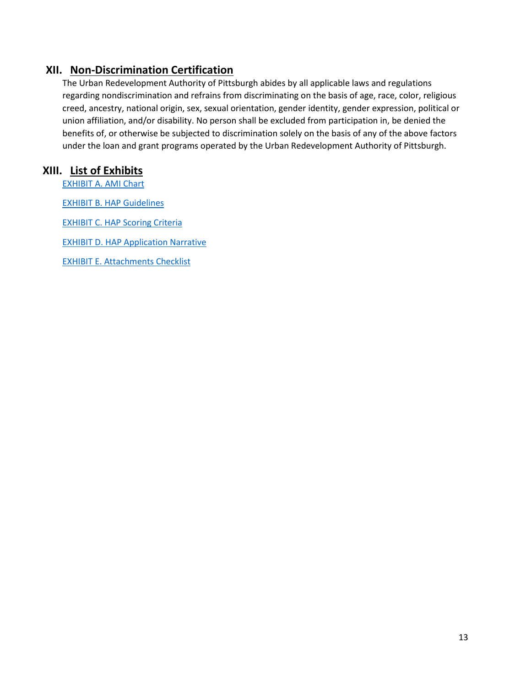# <span id="page-12-0"></span>**XII. Non-Discrimination Certification**

The Urban Redevelopment Authority of Pittsburgh abides by all applicable laws and regulations regarding nondiscrimination and refrains from discriminating on the basis of age, race, color, religious creed, ancestry, national origin, sex, sexual orientation, gender identity, gender expression, political or union affiliation, and/or disability. No person shall be excluded from participation in, be denied the benefits of, or otherwise be subjected to discrimination solely on the basis of any of the above factors under the loan and grant programs operated by the Urban Redevelopment Authority of Pittsburgh.

# **XIII. List of Exhibits**

<span id="page-12-1"></span>EXHIBIT A. [AMI Chart](https://www.ura.org/media/W1siZiIsIjIwMTgvMTIvMTIvOGlhdGo5djg1NF9FeGhpYml0X0FfMjAxOF9BcmVhX01lZGlhbl9JbmNvbWVfQU1JX0NoYXJ0LnBkZiJdXQ/Exhibit%20A%20-%202018%20Area%20Median%20Income%20%28AMI%29%20Chart.pdf)

EXHIBIT B. HAP [Guidelines](https://www.ura.org/media/W1siZiIsIjIwMTgvMTIvMTIvOTg4NnE5OXRtY19FeGhpYml0X0JfSG9tZW93bmVyX0Fzc2lzdGFuY2VfUHJvZ3JhbV9HdWlkZWxpbmVzLnBkZiJdXQ/Exhibit%20B%20-%20Homeowner%20Assistance%20Program%20Guidelines.pdf)

**EXHIBIT C. HAP [Scoring Criteria](https://www.ura.org/media/W1siZiIsIjIwMTgvMTIvMTIvOHQ2Ym45d2Ryal9FeGhpYml0X0NfSEFQX1Njb3JpbmdfQ3JpdGVyaWEueGxzeCJdXQ/Exhibit%20C%20-%20HAP%20Scoring%20Criteria.xlsx)** 

**EXHIBIT D. [HAP Application Narrative](https://www.ura.org/media/W1siZiIsIjIwMTgvMTIvMTIvMmJ5YmJsdHpuMV9FeGhpYml0X0RfSEFQX0FwcGxpY2F0aW9uX05hcnJhdGl2ZS5wZGYiXV0/Exhibit%20D%20-%20HAP%20Application%20Narrative.pdf)** 

EXHIBIT E. [Attachments Checklist](https://www.ura.org/media/W1siZiIsIjIwMTgvMTIvMTIvNW84cDY4cGZwa19FeGhpYml0X0VfQXR0YWNobWVudF9DaGVja2xpc3QucGRmIl1d/Exhibit%20E%20Attachment%20Checklist.pdf)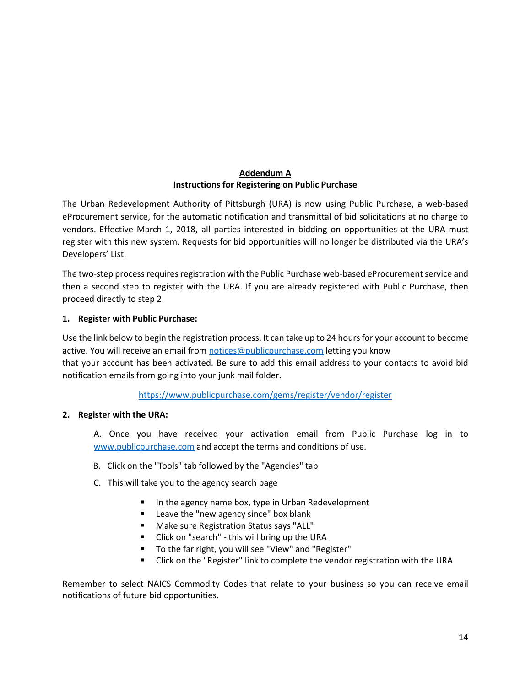## **Addendum A Instructions for Registering on Public Purchase**

The Urban Redevelopment Authority of Pittsburgh (URA) is now using Public Purchase, a web-based eProcurement service, for the automatic notification and transmittal of bid solicitations at no charge to vendors. Effective March 1, 2018, all parties interested in bidding on opportunities at the URA must register with this new system. Requests for bid opportunities will no longer be distributed via the URA's Developers' List.

The two-step process requires registration with the Public Purchase web-based eProcurement service and then a second step to register with the URA. If you are already registered with Public Purchase, then proceed directly to step 2.

### **1. Register with Public Purchase:**

Use the link below to begin the registration process. It can take up to 24 hours for your account to become active. You will receive an email from [notices@publicpurchase.com](mailto:notices@publicpurchase.com) letting you know that your account has been activated. Be sure to add this email address to your contacts to avoid bid notification emails from going into your junk mail folder.

### <https://www.publicpurchase.com/gems/register/vendor/register>

### **2. Register with the URA:**

A. Once you have received your activation email from Public Purchase log in to [www.publicpurchase.com](http://www.publicpurchase.com/) and accept the terms and conditions of use.

- B. Click on the "Tools" tab followed by the "Agencies" tab
- C. This will take you to the agency search page
	- In the agency name box, type in Urban Redevelopment
	- Leave the "new agency since" box blank
	- Make sure Registration Status says "ALL"
	- Click on "search" this will bring up the URA
	- To the far right, you will see "View" and "Register"
	- Click on the "Register" link to complete the vendor registration with the URA

Remember to select NAICS Commodity Codes that relate to your business so you can receive email notifications of future bid opportunities.